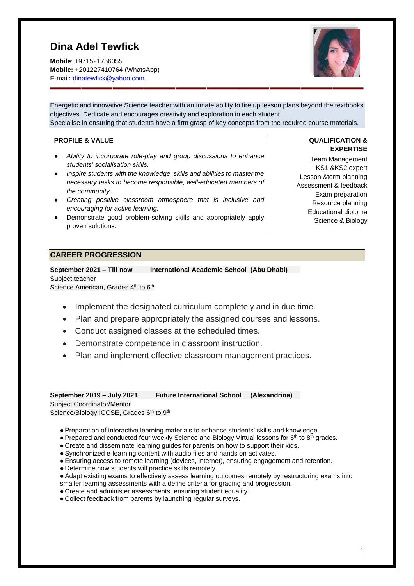# **Dina Adel Tewfick**

**Mobile**: +971521756055 **Mobile:** +201227410764 (WhatsApp) E-mail**:** [dinatewfick@yahoo.com](mailto:dinatewfick@yahoo.com)



Energetic and innovative Science teacher with an innate ability to fire up lesson plans beyond the textbooks objectives. Dedicate and encourages creativity and exploration in each student. Specialise in ensuring that students have a firm grasp of key concepts from the required course materials.

## **PROFILE & VALUE**

- *Ability to incorporate role-play and group discussions to enhance students' socialisation skills.*
- *Inspire students with the knowledge, skills and abilities to master the necessary tasks to become responsible, well-educated members of the community.*
- *Creating positive classroom atmosphere that is inclusive and encouraging for active learning.*
- Demonstrate good problem-solving skills and appropriately apply proven solutions.

#### **QUALIFICATION & EXPERTISE**

Team Management KS1 &KS2 expert Lesson &term planning Assessment & feedback Exam preparation Resource planning Educational diploma Science & Biology

## **CAREER PROGRESSION**

**September 2021 – Till now International Academic School (Abu Dhabi)**  Subject teacher Science American, Grades 4<sup>th</sup> to 6<sup>th</sup>

- Implement the designated curriculum completely and in due time.
- Plan and prepare appropriately the assigned courses and lessons.
- Conduct assigned classes at the scheduled times.
- Demonstrate competence in classroom instruction.
- Plan and implement effective classroom management practices.

**September 2019 – July 2021 Future International School (Alexandrina)**  Subject Coordinator/Mentor

Science/Biology IGCSE, Grades 6th to 9th

- ●Preparation of interactive learning materials to enhance students' skills and knowledge.
- Prepared and conducted four weekly Science and Biology Virtual lessons for 6<sup>th</sup> to 8<sup>th</sup> grades.
- Create and disseminate learning guides for parents on how to support their kids.
- ●Synchronized e-learning content with audio files and hands on activates.
- ●Ensuring access to remote learning (devices, internet), ensuring engagement and retention.
- Determine how students will practice skills remotely.
- ●Adapt existing exams to effectively assess learning outcomes remotely by restructuring exams into smaller learning assessments with a define criteria for grading and progression.
- Create and administer assessments, ensuring student equality.
- Collect feedback from parents by launching regular surveys.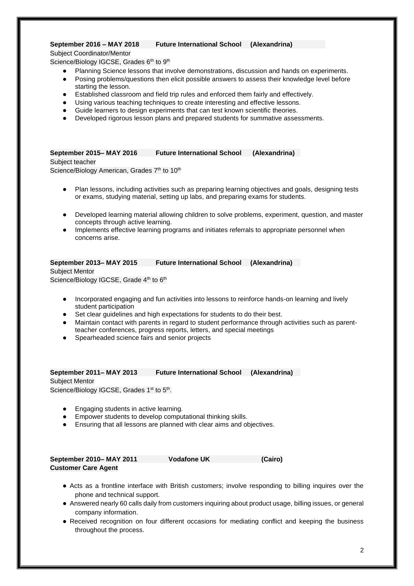#### **September 2016 – MAY 2018 Future International School (Alexandrina)**

Subject Coordinator/Mentor

- Science/Biology IGCSE, Grades 6<sup>th</sup> to 9<sup>th</sup>
	- Planning Science lessons that involve demonstrations, discussion and hands on experiments.
	- Posing problems/questions then elicit possible answers to assess their knowledge level before starting the lesson.
	- Established classroom and field trip rules and enforced them fairly and effectively.
	- Using various teaching techniques to create interesting and effective lessons.
	- Guide learners to design experiments that can test known scientific theories.
	- Developed rigorous lesson plans and prepared students for summative assessments.

#### **September 2015– MAY 2016 Future International School (Alexandrina)**

Subject teacher Science/Biology American, Grades 7<sup>th</sup> to 10<sup>th</sup>

- Plan lessons, including activities such as preparing learning objectives and goals, designing tests or exams, studying material, setting up labs, and preparing exams for students.
- Developed learning material allowing children to solve problems, experiment, question, and master concepts through active learning.
- Implements effective learning programs and initiates referrals to appropriate personnel when concerns arise.

## **September 2013– MAY 2015 Future International School (Alexandrina)**

Subject Mentor Science/Biology IGCSE, Grade 4<sup>th</sup> to 6<sup>th</sup>

- Incorporated engaging and fun activities into lessons to reinforce hands-on learning and lively student participation
- Set clear guidelines and high expectations for students to do their best.
- Maintain contact with parents in regard to student performance through activities such as parentteacher conferences, progress reports, letters, and special meetings
- Spearheaded science fairs and senior projects

#### **September 2011– MAY 2013 Future International School (Alexandrina)**

Subject Mentor Science/Biology IGCSE, Grades 1<sup>st</sup> to 5<sup>th</sup>.

- Engaging students in active learning.
- Empower students to develop computational thinking skills.
- Ensuring that all lessons are planned with clear aims and objectives.

| September 2010– MAY 2011   | <b>Vodafone UK</b> | (Cairo) |
|----------------------------|--------------------|---------|
| <b>Customer Care Agent</b> |                    |         |

- Acts as a frontline interface with British customers; involve responding to billing inquires over the phone and technical support.
- Answered nearly 60 calls daily from customers inquiring about product usage, billing issues, or general company information.
- Received recognition on four different occasions for mediating conflict and keeping the business throughout the process.